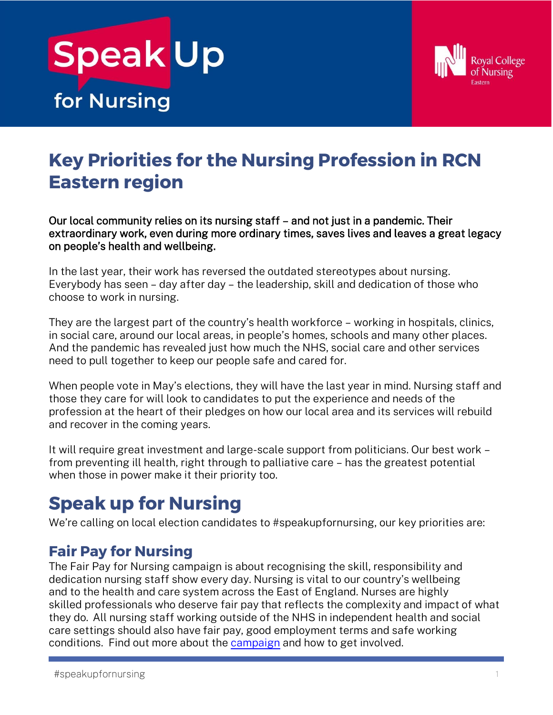



# **Key Priorities for the Nursing Profession in RCN Eastern region**

Our local community relies on its nursing staff – and not just in a pandemic. Their extraordinary work, even during more ordinary times, saves lives and leaves a great legacy on people's health and wellbeing.

In the last year, their work has reversed the outdated stereotypes about nursing. Everybody has seen – day after day – the leadership, skill and dedication of those who choose to work in nursing.

They are the largest part of the country's health workforce – working in hospitals, clinics, in social care, around our local areas, in people's homes, schools and many other places. And the pandemic has revealed just how much the NHS, social care and other services need to pull together to keep our people safe and cared for.

When people vote in May's elections, they will have the last year in mind. Nursing staff and those they care for will look to candidates to put the experience and needs of the profession at the heart of their pledges on how our local area and its services will rebuild and recover in the coming years.

It will require great investment and large-scale support from politicians. Our best work – from preventing ill health, right through to palliative care – has the greatest potential when those in power make it their priority too.

# **Speak up for Nursing**

We're calling on local election candidates to #speakupfornursing, our key priorities are:

# **Fair Pay for Nursing**

The Fair Pay for Nursing campaign is about recognising the skill, responsibility and dedication nursing staff show every day. Nursing is vital to our country's wellbeing and to the health and care system across the East of England. Nurses are highly skilled professionals who deserve fair pay that reflects the complexity and impact of what they do.  All nursing staff working outside of the NHS in independent health and social care settings should also have fair pay, good employment terms and safe working conditions. Find out more about the [campaign](https://www.rcn.org.uk/get-involved/campaign-with-us/fair-pay-for-nursing) and how to get involved.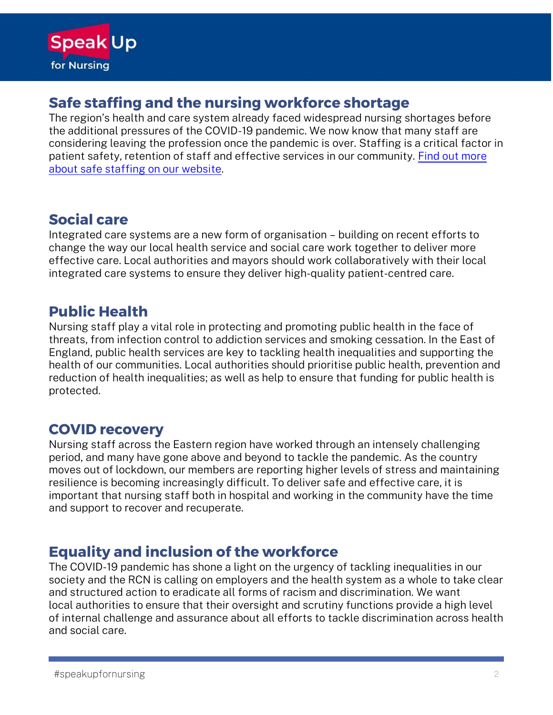## **Safe staffing and the nursing workforce shortage**

The region's health and care system already faced widespread nursing shortages before the additional pressures of the COVID-19 pandemic. We now know that many staff are considering leaving the profession once the pandemic is over. Staffing is a critical factor in patient safety, retention of staff and effective services in our community. [Find out more](https://www.rcn.org.uk/employment-and-pay/safe-staffing)  [about safe staffing on our website.](https://www.rcn.org.uk/employment-and-pay/safe-staffing)

## **Social care**

Integrated care systems are a new form of organisation – building on recent efforts to change the way our local health service and social care work together to deliver more effective care. Local authorities and mayors should work collaboratively with their local integrated care systems to ensure they deliver high-quality patient-centred care.

## **Public Health**

Nursing staff play a vital role in protecting and promoting public health in the face of threats, from infection control to addiction services and smoking cessation. In the East of England, public health services are key to tackling health inequalities and supporting the health of our communities. Local authorities should prioritise public health, prevention and reduction of health inequalities; as well as help to ensure that funding for public health is protected.

#### **COVID recovery**

Nursing staff across the Eastern region have worked through an intensely challenging period, and many have gone above and beyond to tackle the pandemic. As the country moves out of lockdown, our members are reporting higher levels of stress and maintaining resilience is becoming increasingly difficult. To deliver safe and effective care, it is important that nursing staff both in hospital and working in the community have the time and support to recover and recuperate.

## **Equality and inclusion of the workforce**

The COVID-19 pandemic has shone a light on the urgency of tackling inequalities in our society and the RCN is calling on employers and the health system as a whole to take clear and structured action to eradicate all forms of racism and discrimination. We want local authorities to ensure that their oversight and scrutiny functions provide a high level of internal challenge and assurance about all efforts to tackle discrimination across health and social care.